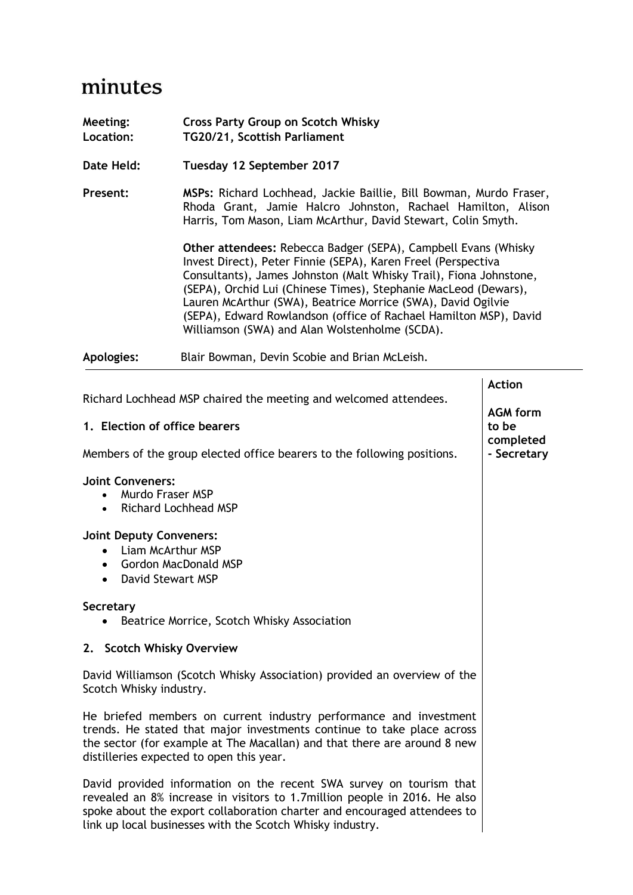## minutes

| Meeting:<br>Location: | <b>Cross Party Group on Scotch Whisky</b><br>TG20/21, Scottish Parliament                                                                                                                                                                                                                                                                                                                                           |
|-----------------------|---------------------------------------------------------------------------------------------------------------------------------------------------------------------------------------------------------------------------------------------------------------------------------------------------------------------------------------------------------------------------------------------------------------------|
| Date Held:            | Tuesday 12 September 2017                                                                                                                                                                                                                                                                                                                                                                                           |
| Present:              | MSPs: Richard Lochhead, Jackie Baillie, Bill Bowman, Murdo Fraser,<br>Rhoda Grant, Jamie Halcro Johnston, Rachael Hamilton, Alison<br>Harris, Tom Mason, Liam McArthur, David Stewart, Colin Smyth.<br><b>Other attendees: Rebecca Badger (SEPA), Campbell Evans (Whisky</b><br>Invest Direct), Peter Finnie (SEPA), Karen Freel (Perspectiva<br>Consultants), James Johnston (Malt Whisky Trail), Fiona Johnstone, |
|                       | (SEPA), Orchid Lui (Chinese Times), Stephanie MacLeod (Dewars),<br>Lauren McArthur (SWA), Beatrice Morrice (SWA), David Ogilvie<br>(SEPA), Edward Rowlandson (office of Rachael Hamilton MSP), David<br>Williamson (SWA) and Alan Wolstenholme (SCDA).                                                                                                                                                              |
| Apologies:            | Blair Bowman, Devin Scobie and Brian McLeish.                                                                                                                                                                                                                                                                                                                                                                       |

|                                                                                                                                                                                                                                                                                           | <b>Action</b>            |
|-------------------------------------------------------------------------------------------------------------------------------------------------------------------------------------------------------------------------------------------------------------------------------------------|--------------------------|
| Richard Lochhead MSP chaired the meeting and welcomed attendees.                                                                                                                                                                                                                          | <b>AGM form</b>          |
| 1. Election of office bearers                                                                                                                                                                                                                                                             | to be                    |
| Members of the group elected office bearers to the following positions.                                                                                                                                                                                                                   | completed<br>- Secretary |
| <b>Joint Conveners:</b><br><b>Murdo Fraser MSP</b><br><b>Richard Lochhead MSP</b><br>$\bullet$                                                                                                                                                                                            |                          |
| <b>Joint Deputy Conveners:</b><br>Liam McArthur MSP<br>$\bullet$<br>• Gordon MacDonald MSP<br>• David Stewart MSP                                                                                                                                                                         |                          |
| Secretary<br>Beatrice Morrice, Scotch Whisky Association                                                                                                                                                                                                                                  |                          |
| 2. Scotch Whisky Overview                                                                                                                                                                                                                                                                 |                          |
| David Williamson (Scotch Whisky Association) provided an overview of the<br>Scotch Whisky industry.                                                                                                                                                                                       |                          |
| He briefed members on current industry performance and investment<br>trends. He stated that major investments continue to take place across<br>the sector (for example at The Macallan) and that there are around 8 new<br>distilleries expected to open this year.                       |                          |
| David provided information on the recent SWA survey on tourism that<br>revealed an 8% increase in visitors to 1.7million people in 2016. He also<br>spoke about the export collaboration charter and encouraged attendees to<br>link up local businesses with the Scotch Whisky industry. |                          |